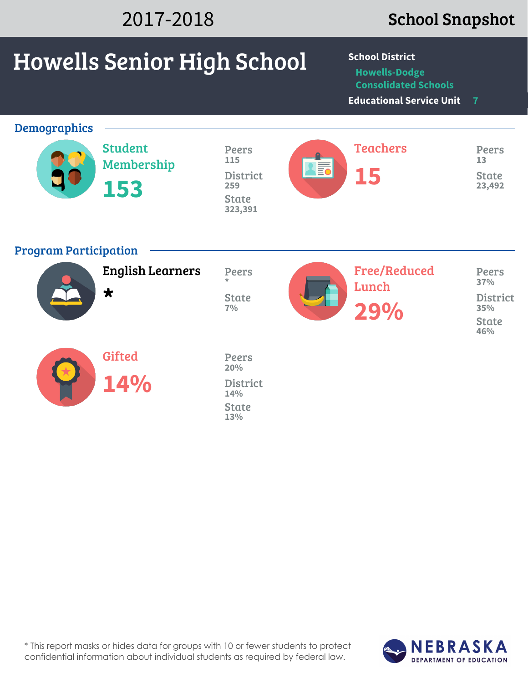| 2017-2018                    |                                       |                                     | <b>School Snapshot</b>                                                                                           |                        |  |  |  |
|------------------------------|---------------------------------------|-------------------------------------|------------------------------------------------------------------------------------------------------------------|------------------------|--|--|--|
|                              | <b>Howells Senior High School</b>     |                                     | <b>School District</b><br><b>Howells-Dodge</b><br><b>Consolidated Schools</b><br><b>Educational Service Unit</b> | $\overline{7}$         |  |  |  |
| <b>Demographics</b>          |                                       |                                     |                                                                                                                  |                        |  |  |  |
|                              | <b>Student</b><br>Membership          | Peers<br>115                        | <b>Teachers</b>                                                                                                  | Peers<br>13            |  |  |  |
|                              | 153                                   | <b>TE</b><br><b>District</b><br>259 | 15                                                                                                               | <b>State</b><br>23,492 |  |  |  |
|                              |                                       | <b>State</b><br>323,391             |                                                                                                                  |                        |  |  |  |
| <b>Program Participation</b> |                                       |                                     |                                                                                                                  |                        |  |  |  |
|                              | <b>English Learners</b><br>$\bigstar$ | <b>Peers</b>                        | <b>Free/Reduced</b><br>Lunch                                                                                     | <b>Peers</b><br>37%    |  |  |  |
|                              |                                       | <b>State</b><br>7%                  | 29%                                                                                                              | <b>District</b><br>35% |  |  |  |
|                              |                                       |                                     |                                                                                                                  | <b>State</b><br>46%    |  |  |  |
|                              | <b>Gifted</b>                         | Peers<br>20%                        |                                                                                                                  |                        |  |  |  |
|                              | 14%                                   | <b>District</b><br>14%              |                                                                                                                  |                        |  |  |  |
|                              |                                       | <b>State</b><br>13%                 |                                                                                                                  |                        |  |  |  |
|                              |                                       |                                     |                                                                                                                  |                        |  |  |  |

\* This report masks or hides data for groups with 10 or fewer students to protect confidential information about individual students as required by federal law.

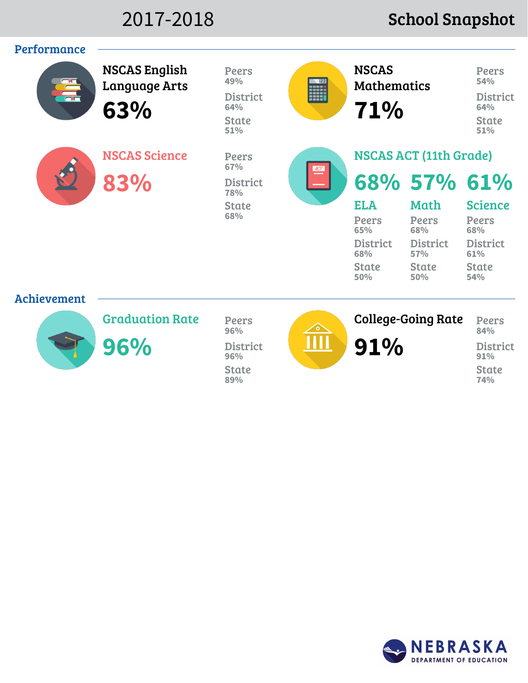## 2017-2018 School Snapshot



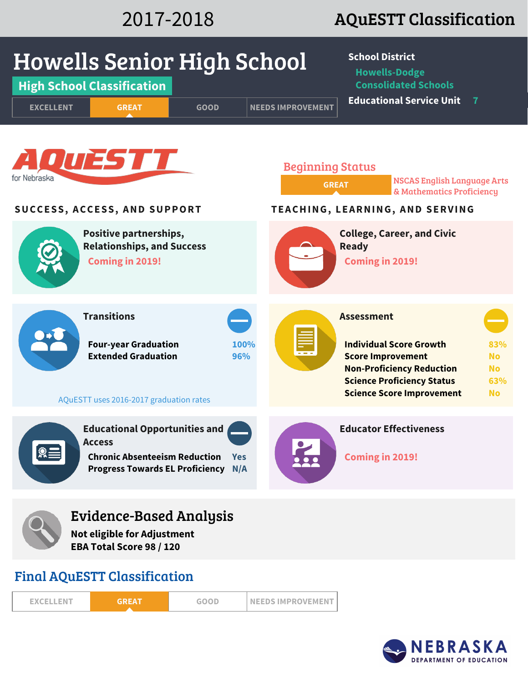# 2017-2018 AQuESTT Classification



| <b>EXCELLENT</b> | GREA | <b>GOOD</b> | <b>INEEDS IMPROVEMENT</b> |
|------------------|------|-------------|---------------------------|
|                  |      |             |                           |

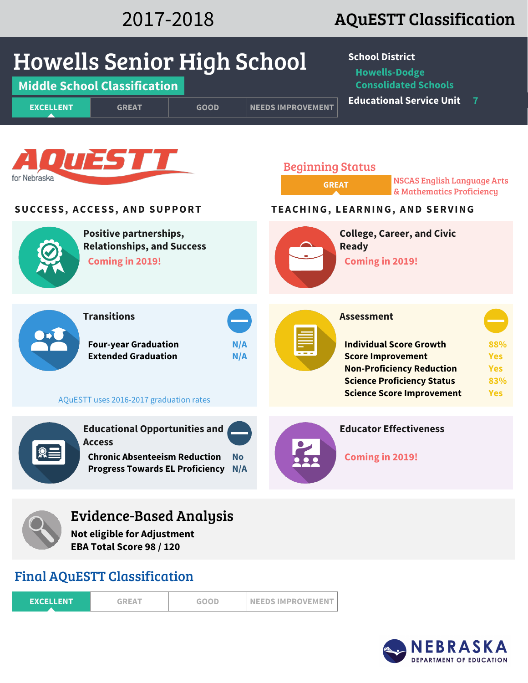# 2017-2018 AQuESTT Classification



## Final AQuESTT Classification

| <b>EXCELLENT</b> | <b>GREAT</b> | <b>GOOD</b> | <b>INEEDS IMPROVEMENT</b> |
|------------------|--------------|-------------|---------------------------|
|                  |              |             |                           |

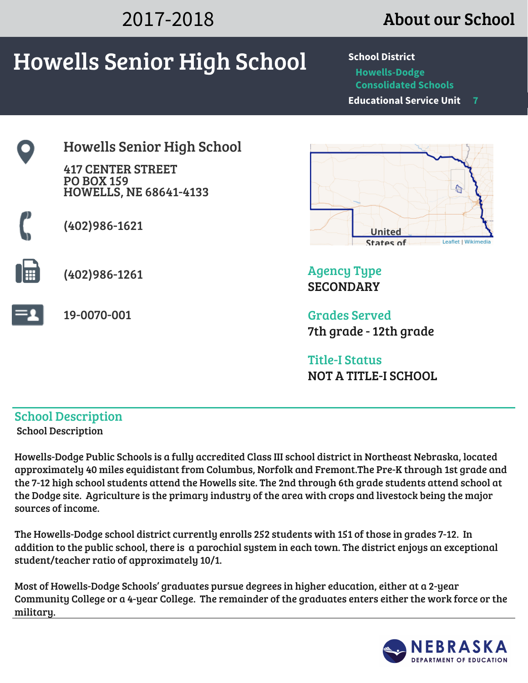# 2017-2018 About our School **Howells Senior High School School District**

**Howells-Dodge Consolidated Schools Educational Service Unit 7**





Agency Type **SECONDARY** 

Grades Served 7th grade - 12th grade

Title-I Status NOT A TITLE-I SCHOOL

## School Description School Description

Howells-Dodge Public Schools is a fully accredited Class III school district in Northeast Nebraska, located approximately 40 miles equidistant from Columbus, Norfolk and Fremont.The Pre-K through 1st grade and the 7-12 high school students attend the Howells site. The 2nd through 6th grade students attend school at the Dodge site. Agriculture is the primary industry of the area with crops and livestock being the major sources of income.

The Howells-Dodge school district currently enrolls 252 students with 151 of those in grades 7-12. In addition to the public school, there is a parochial system in each town. The district enjoys an exceptional student/teacher ratio of approximately 10/1.

Most of Howells-Dodge Schools' graduates pursue degrees in higher education, either at a 2-year Community College or a 4-year College. The remainder of the graduates enters either the work force or the military.